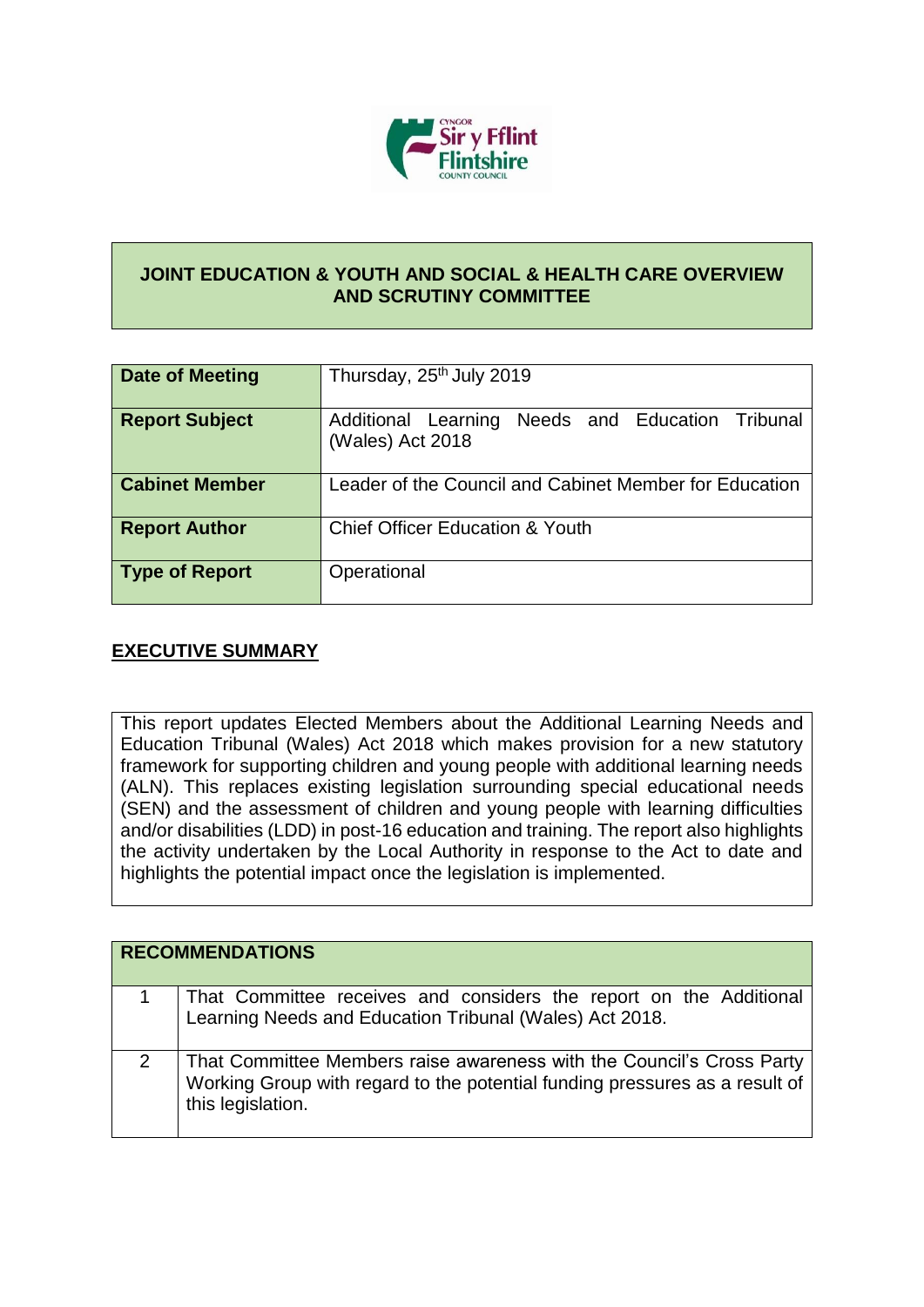

## **JOINT EDUCATION & YOUTH AND SOCIAL & HEALTH CARE OVERVIEW AND SCRUTINY COMMITTEE**

| Date of Meeting       | Thursday, 25 <sup>th</sup> July 2019                                    |
|-----------------------|-------------------------------------------------------------------------|
| <b>Report Subject</b> | Additional Learning<br>Needs and Education Tribunal<br>(Wales) Act 2018 |
| <b>Cabinet Member</b> | Leader of the Council and Cabinet Member for Education                  |
| <b>Report Author</b>  | <b>Chief Officer Education &amp; Youth</b>                              |
| <b>Type of Report</b> | Operational                                                             |

## **EXECUTIVE SUMMARY**

This report updates Elected Members about the Additional Learning Needs and Education Tribunal (Wales) Act 2018 which makes provision for a new statutory framework for supporting children and young people with additional learning needs (ALN). This replaces existing legislation surrounding special educational needs (SEN) and the assessment of children and young people with learning difficulties and/or disabilities (LDD) in post-16 education and training. The report also highlights the activity undertaken by the Local Authority in response to the Act to date and highlights the potential impact once the legislation is implemented.

| <b>RECOMMENDATIONS</b>                                                                                                                                                      |
|-----------------------------------------------------------------------------------------------------------------------------------------------------------------------------|
| That Committee receives and considers the report on the Additional Learning Needs and Education Tribunal (Wales) Act 2018.                                                  |
| That Committee Members raise awareness with the Council's Cross Party<br>  Working Group with regard to the potential funding pressures as a result of<br>this legislation. |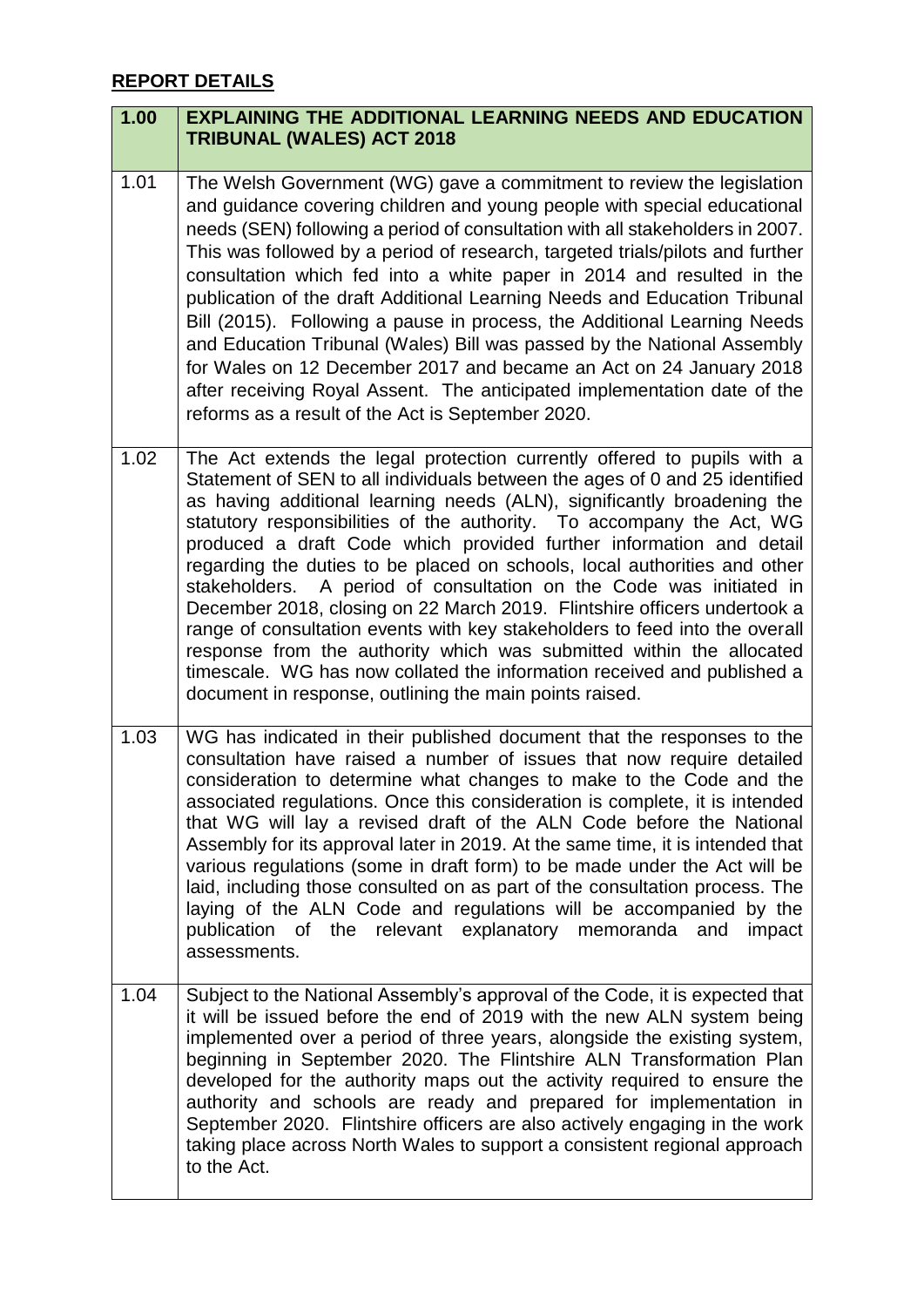## **REPORT DETAILS**

| 1.00 | <b>EXPLAINING THE ADDITIONAL LEARNING NEEDS AND EDUCATION</b><br><b>TRIBUNAL (WALES) ACT 2018</b>                                                                                                                                                                                                                                                                                                                                                                                                                                                                                                                                                                                                                                                                                                                                                                                                              |
|------|----------------------------------------------------------------------------------------------------------------------------------------------------------------------------------------------------------------------------------------------------------------------------------------------------------------------------------------------------------------------------------------------------------------------------------------------------------------------------------------------------------------------------------------------------------------------------------------------------------------------------------------------------------------------------------------------------------------------------------------------------------------------------------------------------------------------------------------------------------------------------------------------------------------|
| 1.01 | The Welsh Government (WG) gave a commitment to review the legislation<br>and guidance covering children and young people with special educational<br>needs (SEN) following a period of consultation with all stakeholders in 2007.<br>This was followed by a period of research, targeted trials/pilots and further<br>consultation which fed into a white paper in 2014 and resulted in the<br>publication of the draft Additional Learning Needs and Education Tribunal<br>Bill (2015). Following a pause in process, the Additional Learning Needs<br>and Education Tribunal (Wales) Bill was passed by the National Assembly<br>for Wales on 12 December 2017 and became an Act on 24 January 2018<br>after receiving Royal Assent. The anticipated implementation date of the<br>reforms as a result of the Act is September 2020.                                                                        |
| 1.02 | The Act extends the legal protection currently offered to pupils with a<br>Statement of SEN to all individuals between the ages of 0 and 25 identified<br>as having additional learning needs (ALN), significantly broadening the<br>statutory responsibilities of the authority. To accompany the Act, WG<br>produced a draft Code which provided further information and detail<br>regarding the duties to be placed on schools, local authorities and other<br>stakeholders. A period of consultation on the Code was initiated in<br>December 2018, closing on 22 March 2019. Flintshire officers undertook a<br>range of consultation events with key stakeholders to feed into the overall<br>response from the authority which was submitted within the allocated<br>timescale. WG has now collated the information received and published a<br>document in response, outlining the main points raised. |
| 1.03 | WG has indicated in their published document that the responses to the<br>consultation have raised a number of issues that now require detailed<br>consideration to determine what changes to make to the Code and the<br>associated regulations. Once this consideration is complete, it is intended<br>that WG will lay a revised draft of the ALN Code before the National<br>Assembly for its approval later in 2019. At the same time, it is intended that<br>various regulations (some in draft form) to be made under the Act will be<br>laid, including those consulted on as part of the consultation process. The<br>laying of the ALN Code and regulations will be accompanied by the<br>publication of the relevant explanatory memoranda and<br>impact<br>assessments.                                                                                                                            |
| 1.04 | Subject to the National Assembly's approval of the Code, it is expected that<br>it will be issued before the end of 2019 with the new ALN system being<br>implemented over a period of three years, alongside the existing system,<br>beginning in September 2020. The Flintshire ALN Transformation Plan<br>developed for the authority maps out the activity required to ensure the<br>authority and schools are ready and prepared for implementation in<br>September 2020. Flintshire officers are also actively engaging in the work<br>taking place across North Wales to support a consistent regional approach<br>to the Act.                                                                                                                                                                                                                                                                          |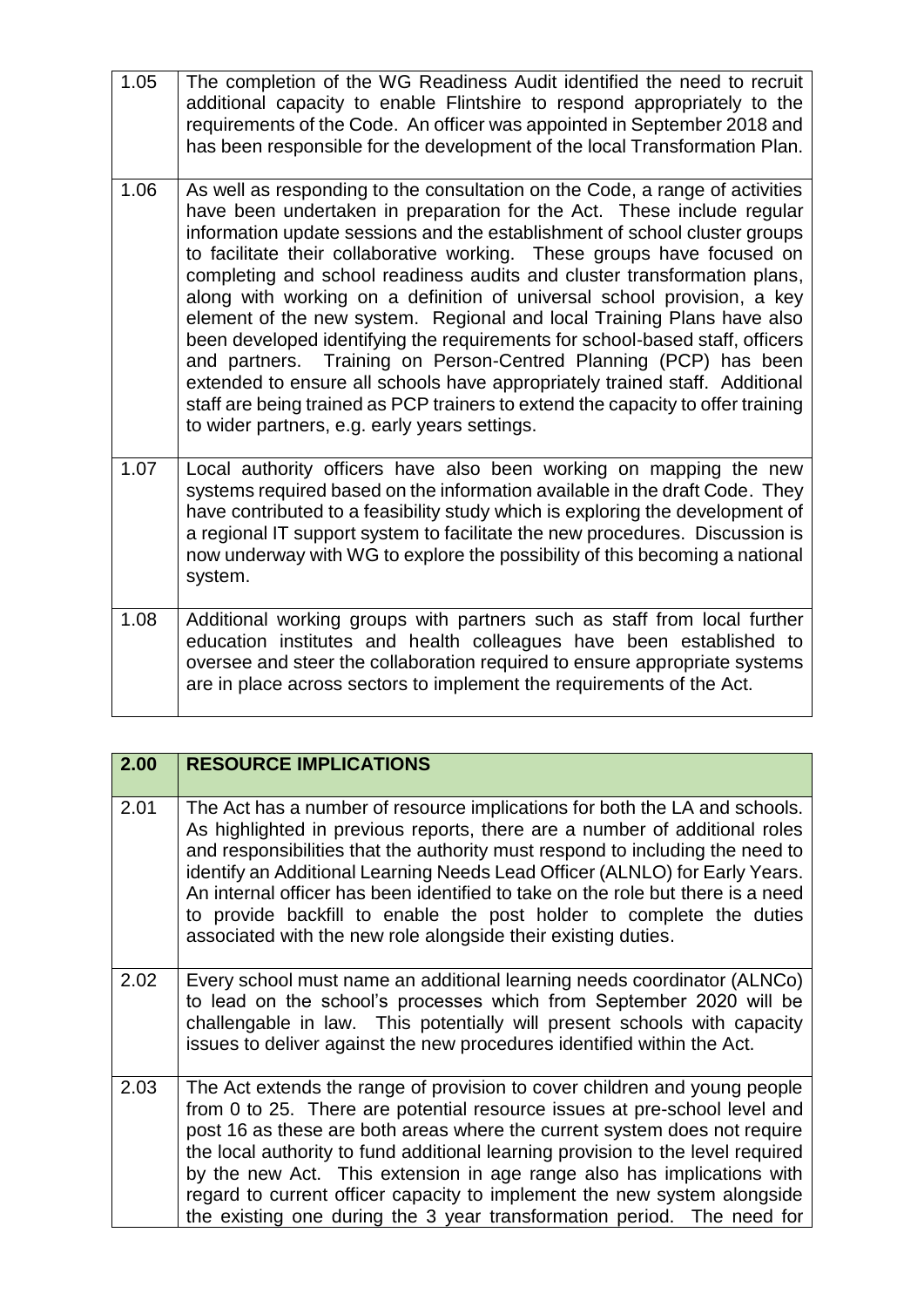| 1.05 | The completion of the WG Readiness Audit identified the need to recruit<br>additional capacity to enable Flintshire to respond appropriately to the<br>requirements of the Code. An officer was appointed in September 2018 and<br>has been responsible for the development of the local Transformation Plan.                                                                                                                                                                                                                                                                                                                                                                                                                                                                                                                                                                                                            |
|------|--------------------------------------------------------------------------------------------------------------------------------------------------------------------------------------------------------------------------------------------------------------------------------------------------------------------------------------------------------------------------------------------------------------------------------------------------------------------------------------------------------------------------------------------------------------------------------------------------------------------------------------------------------------------------------------------------------------------------------------------------------------------------------------------------------------------------------------------------------------------------------------------------------------------------|
| 1.06 | As well as responding to the consultation on the Code, a range of activities<br>have been undertaken in preparation for the Act. These include regular<br>information update sessions and the establishment of school cluster groups<br>to facilitate their collaborative working. These groups have focused on<br>completing and school readiness audits and cluster transformation plans,<br>along with working on a definition of universal school provision, a key<br>element of the new system. Regional and local Training Plans have also<br>been developed identifying the requirements for school-based staff, officers<br>and partners. Training on Person-Centred Planning (PCP) has been<br>extended to ensure all schools have appropriately trained staff. Additional<br>staff are being trained as PCP trainers to extend the capacity to offer training<br>to wider partners, e.g. early years settings. |
| 1.07 | Local authority officers have also been working on mapping the new<br>systems required based on the information available in the draft Code. They<br>have contributed to a feasibility study which is exploring the development of<br>a regional IT support system to facilitate the new procedures. Discussion is<br>now underway with WG to explore the possibility of this becoming a national<br>system.                                                                                                                                                                                                                                                                                                                                                                                                                                                                                                             |
| 1.08 | Additional working groups with partners such as staff from local further<br>education institutes and health colleagues have been established to<br>oversee and steer the collaboration required to ensure appropriate systems<br>are in place across sectors to implement the requirements of the Act.                                                                                                                                                                                                                                                                                                                                                                                                                                                                                                                                                                                                                   |

| 2.00 | <b>RESOURCE IMPLICATIONS</b>                                                                                                                                                                                                                                                                                                                                                                                                                                                                                                                           |
|------|--------------------------------------------------------------------------------------------------------------------------------------------------------------------------------------------------------------------------------------------------------------------------------------------------------------------------------------------------------------------------------------------------------------------------------------------------------------------------------------------------------------------------------------------------------|
| 2.01 | The Act has a number of resource implications for both the LA and schools.<br>As highlighted in previous reports, there are a number of additional roles<br>and responsibilities that the authority must respond to including the need to<br>identify an Additional Learning Needs Lead Officer (ALNLO) for Early Years.<br>An internal officer has been identified to take on the role but there is a need<br>to provide backfill to enable the post holder to complete the duties<br>associated with the new role alongside their existing duties.   |
| 2.02 | Every school must name an additional learning needs coordinator (ALNCo)<br>to lead on the school's processes which from September 2020 will be<br>challengable in law. This potentially will present schools with capacity<br>issues to deliver against the new procedures identified within the Act.                                                                                                                                                                                                                                                  |
| 2.03 | The Act extends the range of provision to cover children and young people<br>from 0 to 25. There are potential resource issues at pre-school level and<br>post 16 as these are both areas where the current system does not require<br>the local authority to fund additional learning provision to the level required<br>by the new Act. This extension in age range also has implications with<br>regard to current officer capacity to implement the new system alongside<br>the existing one during the 3 year transformation period. The need for |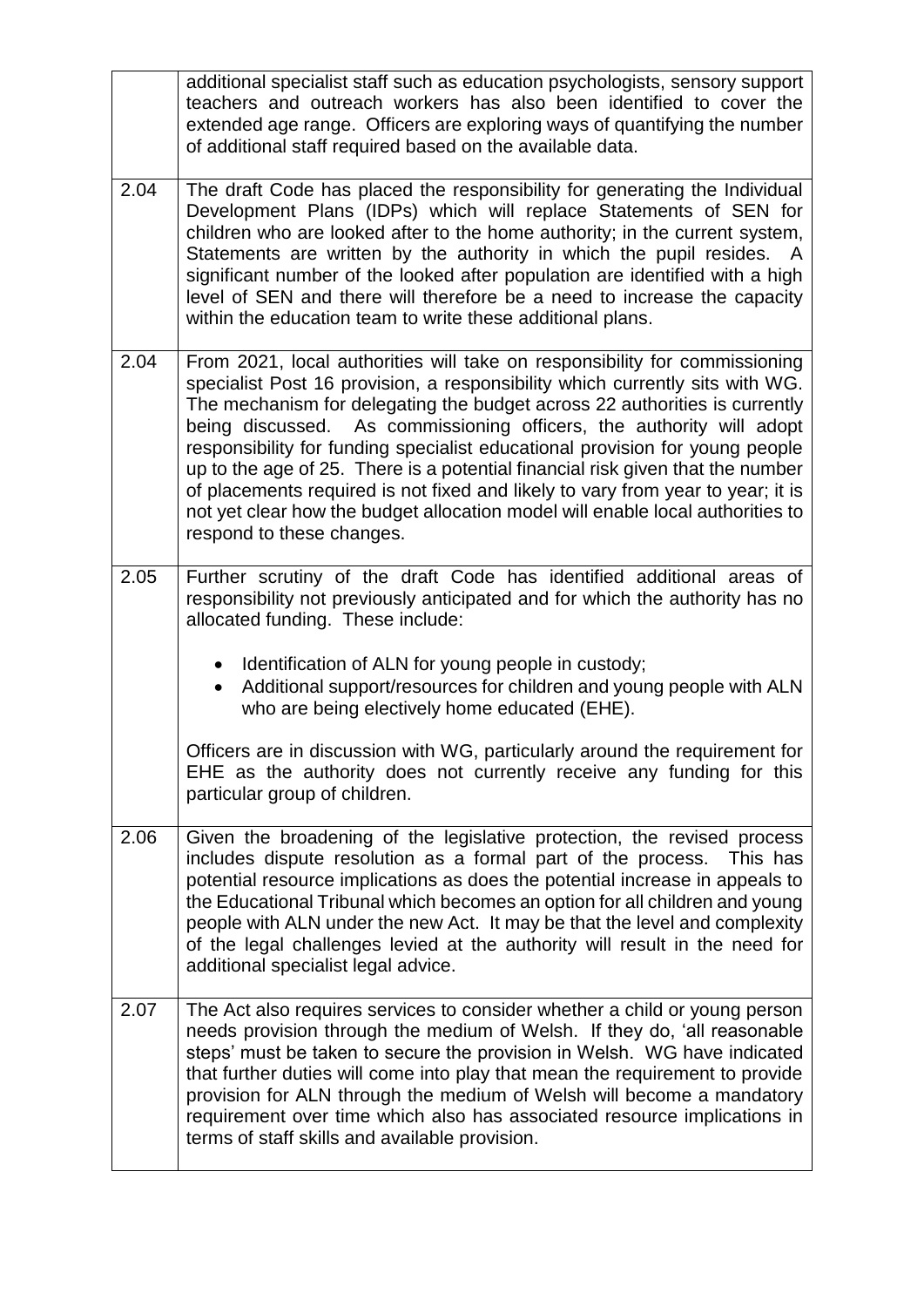|      | additional specialist staff such as education psychologists, sensory support<br>teachers and outreach workers has also been identified to cover the<br>extended age range. Officers are exploring ways of quantifying the number<br>of additional staff required based on the available data.                                                                                                                                                                                                                                                                                                                                                                                        |
|------|--------------------------------------------------------------------------------------------------------------------------------------------------------------------------------------------------------------------------------------------------------------------------------------------------------------------------------------------------------------------------------------------------------------------------------------------------------------------------------------------------------------------------------------------------------------------------------------------------------------------------------------------------------------------------------------|
| 2.04 | The draft Code has placed the responsibility for generating the Individual<br>Development Plans (IDPs) which will replace Statements of SEN for<br>children who are looked after to the home authority; in the current system,<br>Statements are written by the authority in which the pupil resides. A<br>significant number of the looked after population are identified with a high<br>level of SEN and there will therefore be a need to increase the capacity<br>within the education team to write these additional plans.                                                                                                                                                    |
| 2.04 | From 2021, local authorities will take on responsibility for commissioning<br>specialist Post 16 provision, a responsibility which currently sits with WG.<br>The mechanism for delegating the budget across 22 authorities is currently<br>being discussed. As commissioning officers, the authority will adopt<br>responsibility for funding specialist educational provision for young people<br>up to the age of 25. There is a potential financial risk given that the number<br>of placements required is not fixed and likely to vary from year to year; it is<br>not yet clear how the budget allocation model will enable local authorities to<br>respond to these changes. |
| 2.05 | Further scrutiny of the draft Code has identified additional areas of<br>responsibility not previously anticipated and for which the authority has no<br>allocated funding. These include:<br>Identification of ALN for young people in custody;<br>$\bullet$<br>Additional support/resources for children and young people with ALN<br>who are being electively home educated (EHE).<br>Officers are in discussion with WG, particularly around the requirement for<br>EHE as the authority does not currently receive any funding for this<br>particular group of children.                                                                                                        |
| 2.06 | Given the broadening of the legislative protection, the revised process<br>includes dispute resolution as a formal part of the process.<br>This has<br>potential resource implications as does the potential increase in appeals to<br>the Educational Tribunal which becomes an option for all children and young<br>people with ALN under the new Act. It may be that the level and complexity<br>of the legal challenges levied at the authority will result in the need for<br>additional specialist legal advice.                                                                                                                                                               |
| 2.07 | The Act also requires services to consider whether a child or young person<br>needs provision through the medium of Welsh. If they do, 'all reasonable<br>steps' must be taken to secure the provision in Welsh. WG have indicated<br>that further duties will come into play that mean the requirement to provide<br>provision for ALN through the medium of Welsh will become a mandatory<br>requirement over time which also has associated resource implications in<br>terms of staff skills and available provision.                                                                                                                                                            |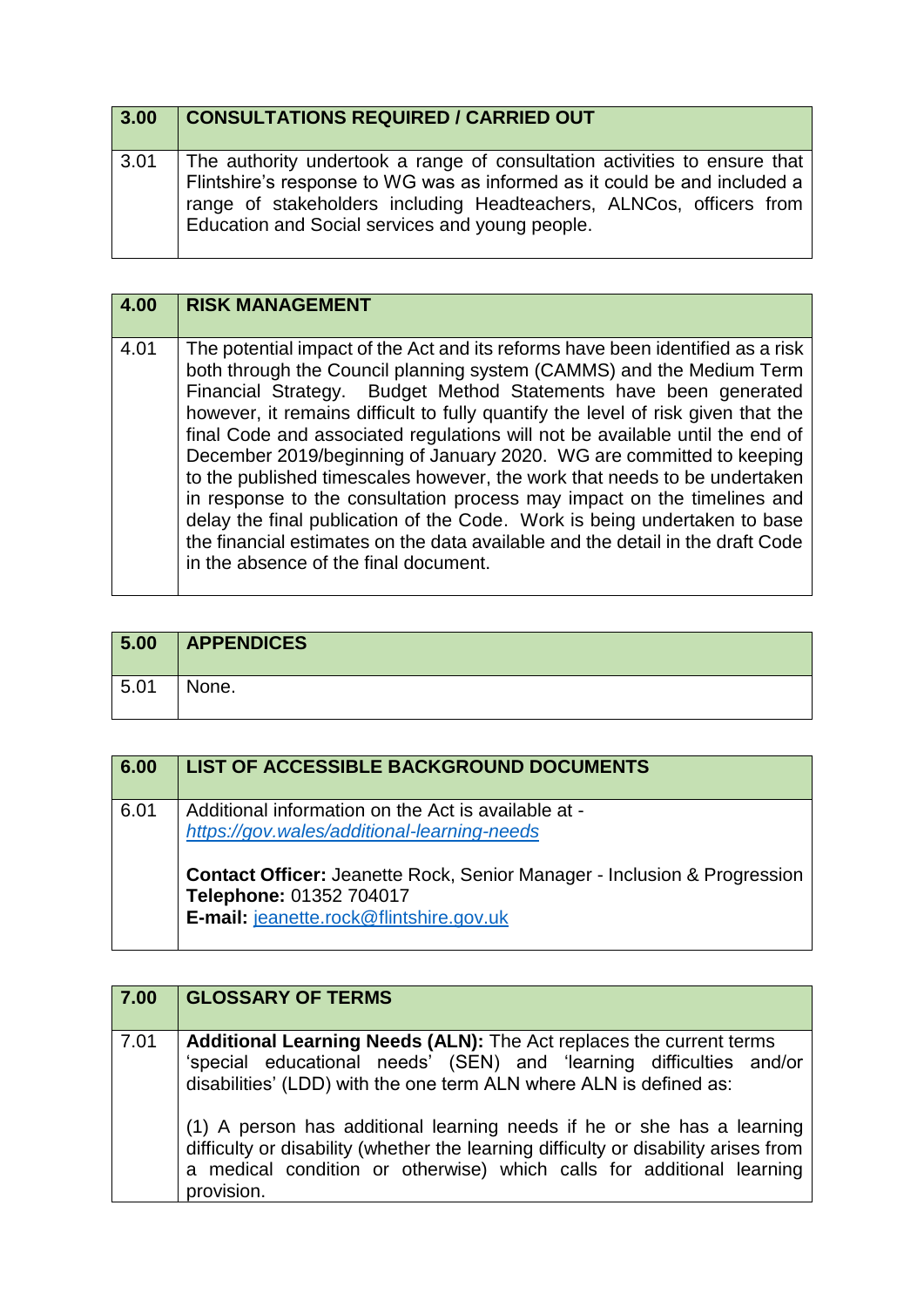| 3.00 | <b>CONSULTATIONS REQUIRED / CARRIED OUT</b>                                                                                                                                                                                                                                      |
|------|----------------------------------------------------------------------------------------------------------------------------------------------------------------------------------------------------------------------------------------------------------------------------------|
| 3.01 | The authority undertook a range of consultation activities to ensure that<br>Flintshire's response to WG was as informed as it could be and included a<br>range of stakeholders including Headteachers, ALNCos, officers from<br>Education and Social services and young people. |

| 4.00 | <b>RISK MANAGEMENT</b>                                                                                                                                                                                                                                                                                                                                                                                                                                                                                                                                                                                                                                                                                                                                                                                                                 |
|------|----------------------------------------------------------------------------------------------------------------------------------------------------------------------------------------------------------------------------------------------------------------------------------------------------------------------------------------------------------------------------------------------------------------------------------------------------------------------------------------------------------------------------------------------------------------------------------------------------------------------------------------------------------------------------------------------------------------------------------------------------------------------------------------------------------------------------------------|
| 4.01 | The potential impact of the Act and its reforms have been identified as a risk<br>both through the Council planning system (CAMMS) and the Medium Term<br>Financial Strategy. Budget Method Statements have been generated<br>however, it remains difficult to fully quantify the level of risk given that the<br>final Code and associated regulations will not be available until the end of<br>December 2019/beginning of January 2020. WG are committed to keeping<br>to the published timescales however, the work that needs to be undertaken<br>in response to the consultation process may impact on the timelines and<br>delay the final publication of the Code. Work is being undertaken to base<br>the financial estimates on the data available and the detail in the draft Code<br>in the absence of the final document. |

| 5.00 | <b>APPENDICES</b> |
|------|-------------------|
| 5.01 | None.             |

| 6.00 | LIST OF ACCESSIBLE BACKGROUND DOCUMENTS                                                                                                                   |
|------|-----------------------------------------------------------------------------------------------------------------------------------------------------------|
| 6.01 | Additional information on the Act is available at -<br>https://gov.wales/additional-learning-needs                                                        |
|      | <b>Contact Officer: Jeanette Rock, Senior Manager - Inclusion &amp; Progression</b><br>Telephone: 01352 704017<br>E-mail: jeanette.rock@flintshire.gov.uk |

| 7.00 | <b>GLOSSARY OF TERMS</b>                                                                                                                                                                                                                             |
|------|------------------------------------------------------------------------------------------------------------------------------------------------------------------------------------------------------------------------------------------------------|
| 7.01 | Additional Learning Needs (ALN): The Act replaces the current terms<br>'special educational needs' (SEN) and 'learning difficulties and/or<br>disabilities' (LDD) with the one term ALN where ALN is defined as:                                     |
|      | (1) A person has additional learning needs if he or she has a learning<br>difficulty or disability (whether the learning difficulty or disability arises from<br>a medical condition or otherwise) which calls for additional learning<br>provision. |